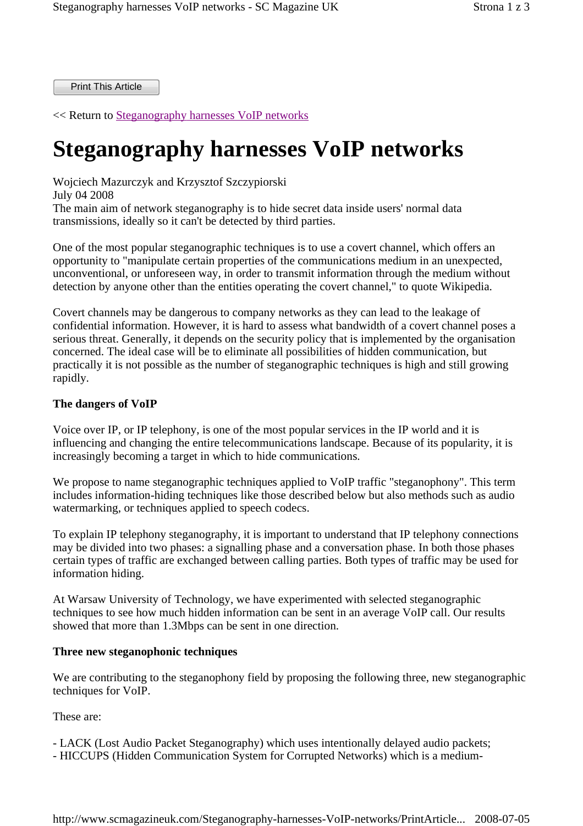Print This Article

<< Return to Steganography harnesses VoIP networks

# **Steganography harnesses VoIP networks**

Wojciech Mazurczyk and Krzysztof Szczypiorski July 04 2008 The main aim of network steganography is to hide secret data inside users' normal data transmissions, ideally so it can't be detected by third parties.

One of the most popular steganographic techniques is to use a covert channel, which offers an opportunity to "manipulate certain properties of the communications medium in an unexpected, unconventional, or unforeseen way, in order to transmit information through the medium without detection by anyone other than the entities operating the covert channel," to quote Wikipedia.

Covert channels may be dangerous to company networks as they can lead to the leakage of confidential information. However, it is hard to assess what bandwidth of a covert channel poses a serious threat. Generally, it depends on the security policy that is implemented by the organisation concerned. The ideal case will be to eliminate all possibilities of hidden communication, but practically it is not possible as the number of steganographic techniques is high and still growing rapidly.

### **The dangers of VoIP**

Voice over IP, or IP telephony, is one of the most popular services in the IP world and it is influencing and changing the entire telecommunications landscape. Because of its popularity, it is increasingly becoming a target in which to hide communications.

We propose to name steganographic techniques applied to VoIP traffic "steganophony". This term includes information-hiding techniques like those described below but also methods such as audio watermarking, or techniques applied to speech codecs.

To explain IP telephony steganography, it is important to understand that IP telephony connections may be divided into two phases: a signalling phase and a conversation phase. In both those phases certain types of traffic are exchanged between calling parties. Both types of traffic may be used for information hiding.

At Warsaw University of Technology, we have experimented with selected steganographic techniques to see how much hidden information can be sent in an average VoIP call. Our results showed that more than 1.3Mbps can be sent in one direction.

#### **Three new steganophonic techniques**

We are contributing to the steganophony field by proposing the following three, new steganographic techniques for VoIP.

These are:

- LACK (Lost Audio Packet Steganography) which uses intentionally delayed audio packets;
- HICCUPS (Hidden Communication System for Corrupted Networks) which is a medium-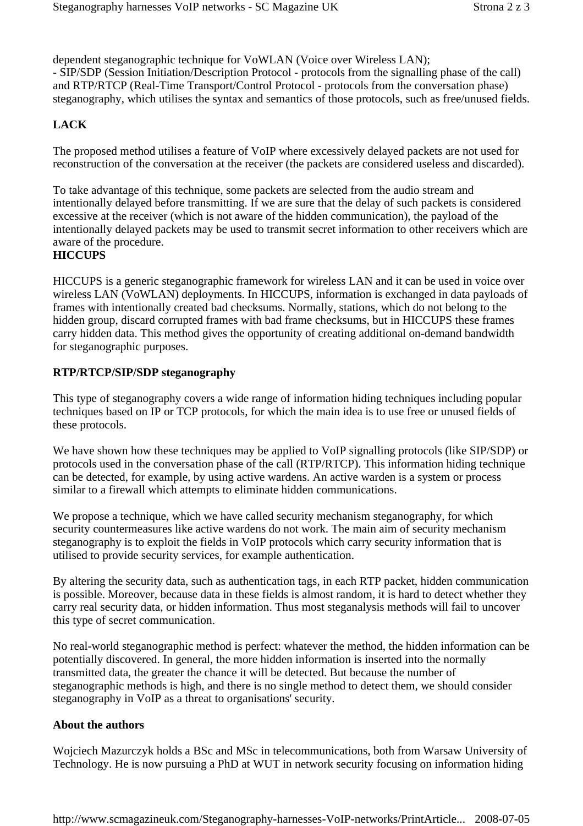dependent steganographic technique for VoWLAN (Voice over Wireless LAN); - SIP/SDP (Session Initiation/Description Protocol - protocols from the signalling phase of the call) and RTP/RTCP (Real-Time Transport/Control Protocol - protocols from the conversation phase) steganography, which utilises the syntax and semantics of those protocols, such as free/unused fields.

# **LACK**

The proposed method utilises a feature of VoIP where excessively delayed packets are not used for reconstruction of the conversation at the receiver (the packets are considered useless and discarded).

To take advantage of this technique, some packets are selected from the audio stream and intentionally delayed before transmitting. If we are sure that the delay of such packets is considered excessive at the receiver (which is not aware of the hidden communication), the payload of the intentionally delayed packets may be used to transmit secret information to other receivers which are aware of the procedure.

# **HICCUPS**

HICCUPS is a generic steganographic framework for wireless LAN and it can be used in voice over wireless LAN (VoWLAN) deployments. In HICCUPS, information is exchanged in data payloads of frames with intentionally created bad checksums. Normally, stations, which do not belong to the hidden group, discard corrupted frames with bad frame checksums, but in HICCUPS these frames carry hidden data. This method gives the opportunity of creating additional on-demand bandwidth for steganographic purposes.

## **RTP/RTCP/SIP/SDP steganography**

This type of steganography covers a wide range of information hiding techniques including popular techniques based on IP or TCP protocols, for which the main idea is to use free or unused fields of these protocols.

We have shown how these techniques may be applied to VoIP signalling protocols (like SIP/SDP) or protocols used in the conversation phase of the call (RTP/RTCP). This information hiding technique can be detected, for example, by using active wardens. An active warden is a system or process similar to a firewall which attempts to eliminate hidden communications.

We propose a technique, which we have called security mechanism steganography, for which security countermeasures like active wardens do not work. The main aim of security mechanism steganography is to exploit the fields in VoIP protocols which carry security information that is utilised to provide security services, for example authentication.

By altering the security data, such as authentication tags, in each RTP packet, hidden communication is possible. Moreover, because data in these fields is almost random, it is hard to detect whether they carry real security data, or hidden information. Thus most steganalysis methods will fail to uncover this type of secret communication.

No real-world steganographic method is perfect: whatever the method, the hidden information can be potentially discovered. In general, the more hidden information is inserted into the normally transmitted data, the greater the chance it will be detected. But because the number of steganographic methods is high, and there is no single method to detect them, we should consider steganography in VoIP as a threat to organisations' security.

## **About the authors**

Wojciech Mazurczyk holds a BSc and MSc in telecommunications, both from Warsaw University of Technology. He is now pursuing a PhD at WUT in network security focusing on information hiding